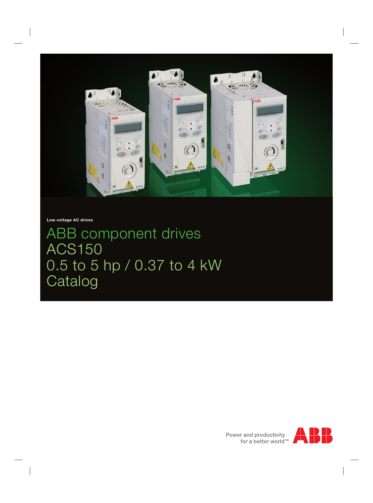

**Low voltage AC drives**

ABB component drives ACS150 0.5 to 5 hp / 0.37 to 4 kW Catalog

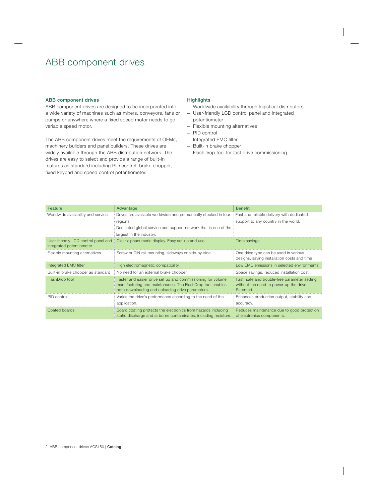## ABB component drives

#### ABB component drives

ABB component drives are designed to be incorporated into a wide variety of machines such as mixers, conveyors, fans or pumps or anywhere where a fixed speed motor needs to go variable speed motor.

The ABB component drives meet the requirements of OEMs, machinery builders and panel builders. These drives are widely available through the ABB distribution network. The drives are easy to select and provide a range of built-in features as standard including PID control, brake chopper, fixed keypad and speed control potentiometer.

#### **Highlights**

- − Worldwide availability through logistical distributors
- − User-friendly LCD control panel and integrated potentiometer
- − Flexible mounting alternatives
- − PID control
- − Integrated EMC filter
- − Built-in brake chopper
- − FlashDrop tool for fast drive commissioning

| Feature                                                         | Advantage                                                                                                                                                                    | <b>Benefit</b>                                                                                       |
|-----------------------------------------------------------------|------------------------------------------------------------------------------------------------------------------------------------------------------------------------------|------------------------------------------------------------------------------------------------------|
| Worldwide availability and service                              | Drives are available worldwide and permanently stocked in four                                                                                                               | Fast and reliable delivery with dedicated                                                            |
|                                                                 | regions.                                                                                                                                                                     | support to any country in the world.                                                                 |
|                                                                 | Dedicated global service and support network that is one of the                                                                                                              |                                                                                                      |
|                                                                 | largest in the industry.                                                                                                                                                     |                                                                                                      |
| User-friendly LCD control panel and<br>integrated potentiometer | Clear alphanumeric display. Easy set-up and use.                                                                                                                             | l ime savings                                                                                        |
| Flexible mounting alternatives                                  | Screw or DIN rail mounting, sideways or side-by-side                                                                                                                         | One drive type can be used in various<br>designs, saving installation costs and time                 |
| Integrated EMC filter                                           | High electromagnetic compatibility                                                                                                                                           | Low FMC emissions in selected environments                                                           |
| Built-in brake chopper as standard                              | No need for an external brake chopper                                                                                                                                        | Space savings, reduced installation cost                                                             |
| FlashDrop tool                                                  | Faster and easier drive set up and commissioning for volume<br>manufacturing and maintenance. The FlashDrop tool enables<br>both downloading and uploading drive parameters. | Fast, safe and trouble-free parameter setting<br>without the need to power-up the drive.<br>Patented |
| PID control                                                     | Varies the drive's performance according to the need of the                                                                                                                  | Enhances production output, stability and                                                            |
|                                                                 | application.                                                                                                                                                                 | accuracy.                                                                                            |
| Coated boards                                                   | Board coating protects the electronics from hazards including<br>static discharge and airborne contaminates, including moisture.                                             | Reduces maintenance due to good protection<br>of electronics components.                             |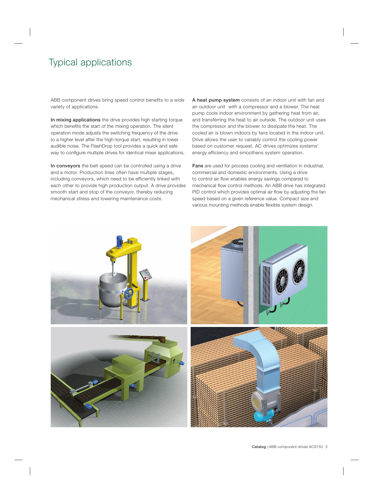## Typical applications

ABB component drives bring speed control benefits to a wide variety of applications.

In mixing applications the drive provides high starting torque which benefits the start of the mixing operation. The silent operation mode adjusts the switching frequency of the drive to a higher level after the high-torque start, resulting in lower audible noise. The FlashDrop tool provides a quick and safe way to configure multiple drives for identical mixer applications.

In conveyors the belt speed can be controlled using a drive and a motor. Production lines often have multiple stages, including conveyors, which need to be efficiently linked with each other to provide high production output. A drive provides smooth start and stop of the conveyor, thereby reducing mechanical stress and lowering maintenance costs.

A heat pump system consists of an indoor unit with fan and an outdoor unit with a compressor and a blower. The heat pump cools indoor environment by gathering heat from air, and transferring the heat to air outside. The outdoor unit uses the compressor and the blower to dissipate the heat. The cooled air is blown indoors by fans located in the indoor unit. Drive allows the user to variably control the cooling power based on customer request. AC drives optimizes systems' energy efficiency and smoothens system operation.

Fans are used for process cooling and ventilation in industrial, commercial and domestic environments. Using a drive to control air flow enables energy savings compared to mechanical flow control methods. An ABB drive has integrated PID control which provides optimal air flow by adjusting the fan speed based on a given reference value. Compact size and various mounting methods enable flexible system design.

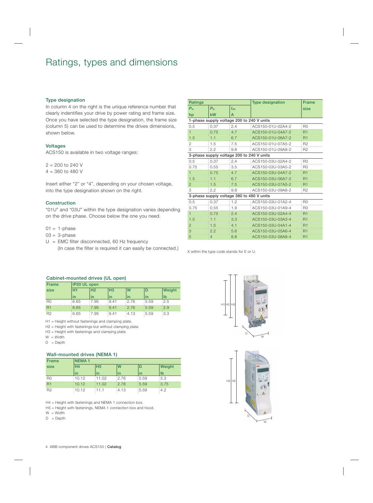## Ratings, types and dimensions

#### Type designation

In column 4 on the right is the unique reference number that clearly indentifies your drive by power rating and frame size. Once you have selected the type designation, the frame size (column 5) can be used to determine the drives dimensions, shown below.

#### **Voltages**

ACS150 is available in two voltage ranges:

 $2 = 200$  to 240 V  $4 = 380$  to 480 V

Insert either "2" or "4", depending on your chosen voltage, into the type designation shown on the right.

### Construction

"01U" and "03U" within the type designation varies depending on the drive phase. Choose below the one you need.

 $01 = 1$ -phase

 $03 = 3$ -phase

 $U =$  EMC filter disconnected, 60 Hz frequency (In case the filter is required it can easily be connected.)  $\times$  within the type code stands for E or U.

| <b>Ratings</b> |                                           | <b>Type designation</b> | <b>Frame</b>      |                |
|----------------|-------------------------------------------|-------------------------|-------------------|----------------|
| $P_{N}$        | $P_{N}$                                   | $I_{2N}$                |                   | size           |
| hp             | kW                                        | A                       |                   |                |
|                | 1-phase supply voltage 200 to 240 V units |                         |                   |                |
| 0.5            | 0.37                                      | 2.4                     | ACS150-01U-02A4-2 | R <sub>0</sub> |
| $\overline{1}$ | 0.75                                      | 4.7                     | ACS150-01U-04A7-2 | <b>R1</b>      |
| 1.5            | 1.1                                       | 6.7                     | ACS150-01U-06A7-2 | R <sub>1</sub> |
| 2              | 1.5                                       | 7.5                     | ACS150-01U-07A5-2 | R <sub>2</sub> |
| 3              | 2.2                                       | 9.8                     | ACS150-01U-09A8-2 | R <sub>2</sub> |
|                | 3-phase supply voltage 200 to 240 V units |                         |                   |                |
| 0.5            | 0.37                                      | 2.4                     | ACS150-03U-02A4-2 | R <sub>0</sub> |
| 0.75           | 0.55                                      | 3.5                     | ACS150-03U-03A5-2 | R <sub>0</sub> |
| $\overline{1}$ | 0.75                                      | 4.7                     | ACS150-03U-04A7-2 | R1             |
| 1.5            | 1.1                                       | 6.7                     | ACS150-03U-06A7-2 | R1             |
| $\overline{2}$ | 1.5                                       | 7.5                     | ACS150-03U-07A5-2 | R1             |
| 3              | 2.2                                       | 9.8                     | ACS150-03U-09A8-2 | R <sub>2</sub> |
|                | 3-phase supply voltage 380 to 480 V units |                         |                   |                |
| 0.5            | 0.37                                      | 1.2                     | ACS150-03U-01A2-4 | R <sub>0</sub> |
| 0.75           | 0.55                                      | 1.9                     | ACS150-03U-01A9-4 | R <sub>0</sub> |
| $\overline{1}$ | 0.75                                      | 2.4                     | ACS150-03U-02A4-4 | R1             |
| 1.5            | 1.1                                       | 3.3                     | ACS150-03U-03A3-4 | R1             |
| $\overline{2}$ | 1.5                                       | 4.1                     | ACS150-03U-04A1-4 | R1             |
| 3              | 2.2                                       | 5.6                     | ACS150-03U-05A6-4 | R <sub>1</sub> |
| 5              | 4                                         | 8.8                     | ACS150-03U-08A8-4 | R1             |

### Cabinet-mounted drives (UL open)

| <b>Frame</b>   |      | IP20 UL open   |                |       |       |        |
|----------------|------|----------------|----------------|-------|-------|--------|
| size           | H1   | H <sub>2</sub> | H <sub>3</sub> | W     |       | Weight |
|                | in   | in             | in             | in    | in    | lb     |
| R <sub>0</sub> | 6.65 | :7.95          | 9.41           | :2.76 | :5.59 | :2.5   |
| R <sub>1</sub> | 6.65 | 17.95          | 9.41           | 12.76 | 15.59 | 12.9   |
| R2             | 6.65 | :7.95          | 9.41           | 4.13  | :5.59 | :3.3   |

H1 = Height without fastenings and clamping plate.

H2 = Height with fastenings but without clamping plate.

H3 = Height with fastenings and clamping plate.

- $W = W$ idth
- $D = \text{Depth}$

### Wall-mounted drives (NEMA 1)

| <b>Frame</b>   | <b>NEMA1</b> |                |       |       |        |
|----------------|--------------|----------------|-------|-------|--------|
| size           | Η4           | H <sub>5</sub> | W     |       | Weight |
|                | in           | in             | in    | in    | lb     |
| R <sub>0</sub> | 10.12        | 11.02          | 2.76  | :5.59 | 3.3    |
| R <sub>1</sub> | 10.12        | 11.02          | 12.76 | 15.59 | 13.75  |
| R <sub>2</sub> | 10.12        | 11.1           | :4.13 | :5.59 | :4.2   |

H4 = Height with fastenings and NEMA 1 connection box.

H5 = Height with fastenings, NEMA 1 connection box and hood.

 $W = Width$ 

 $D = \text{Depth}$ 



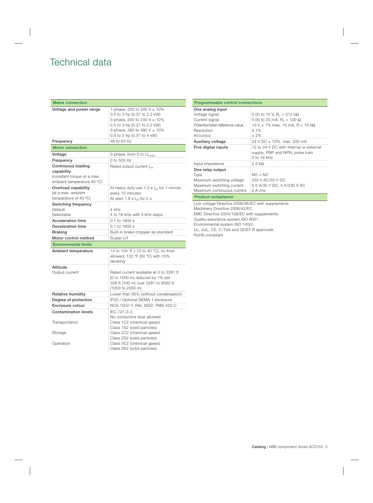# Technical data

| <b>Mains connection</b>         |                                                    |  |  |
|---------------------------------|----------------------------------------------------|--|--|
| Voltage and power range         | 1-phase, 200 to 240 V ± 10%                        |  |  |
|                                 | 0.5 to 3 hp (0.37 to 2.2 kW)                       |  |  |
|                                 | 3-phase, 200 to 240 V ± 10%                        |  |  |
|                                 | 0.5 to 3 hp (0.37 to 2.2 kW)                       |  |  |
|                                 | 3-phase, 380 to 480 V ± 10%                        |  |  |
|                                 | 0.5 to 5 hp (0.37 to 4 kW)                         |  |  |
| Frequency                       | 48 to 63 Hz                                        |  |  |
| <b>Motor connection</b>         |                                                    |  |  |
| Voltage                         | 3-phase, from 0 to $U_{\text{supply}}$             |  |  |
| Frequency                       | 0 to 500 Hz                                        |  |  |
| <b>Continuous loading</b>       | Rated output current $I_{2N}$                      |  |  |
| capability                      |                                                    |  |  |
| (constant torque at a max.      |                                                    |  |  |
| ambient temperature 40 °C)      |                                                    |  |  |
| Overload capability             | At heavy duty use $1.5 \times l_{2N}$ for 1 minute |  |  |
| (at a max. ambient              | every 10 minutes                                   |  |  |
| temperature of 40 $^{\circ}$ C) | At start 1.8 $\times$ $l_{2N}$ for 2 s             |  |  |
| Switching frequency             |                                                    |  |  |
| Default                         | 4 kHz                                              |  |  |
| Selectable                      | 4 to 16 kHz with 4 kHz steps                       |  |  |
| <b>Acceleration time</b>        | 0.1 to 1800 s                                      |  |  |
| Deceleration time               | 0.1 to 1800 s                                      |  |  |
| <b>Braking</b>                  | Built-in brake chopper as standard                 |  |  |
| Motor control method            | Scalar U/f                                         |  |  |
| <b>Environmental limits</b>     |                                                    |  |  |
| Ambient temperature             | 14 to 104 °F (-10 to 40 °C), no frost              |  |  |
|                                 | allowed, 122 °F (50 °C) with 10%                   |  |  |
|                                 | derating                                           |  |  |
| Altitude                        |                                                    |  |  |
| Output current                  | Rated current available at 0 to 3281 ft            |  |  |
|                                 | (0 to 1000 m) reduced by 1% per                    |  |  |
|                                 | 328 ft (100 m) over 3281 to 6562 ft                |  |  |
|                                 | (1000 to 2000 m)                                   |  |  |
| <b>Relative humidity</b>        | Lower than 95% (without condensation)              |  |  |
| Degree of protection            | IP20 / Optional NEMA 1 enclosure                   |  |  |
| Enclosure colour                | NCS 1502-Y, RAL 9002, PMS 420 C                    |  |  |
| <b>Contamination levels</b>     | IEC 721-3-3                                        |  |  |
|                                 | No conductive dust allowed                         |  |  |
| Transportation                  | Class 1C2 (chemical gases)                         |  |  |
|                                 | Class 1S2 (solid particles)                        |  |  |
| Storage                         | Class 2C2 (chemical gases)                         |  |  |
|                                 | Class 2S2 (solid particles)                        |  |  |
| Operation                       | Class 3C2 (chemical gases)                         |  |  |
|                                 | Class 3S2 (solid particles)                        |  |  |

| <b>Programmable control connections</b>           |                                                                                            |  |  |  |  |
|---------------------------------------------------|--------------------------------------------------------------------------------------------|--|--|--|--|
|                                                   |                                                                                            |  |  |  |  |
| One analog input                                  |                                                                                            |  |  |  |  |
| Voltage signal                                    | 0 (2) to 10 V, $R_{\rm in} > 312$ k $\Omega$                                               |  |  |  |  |
| Current signal                                    | 0 (4) to 20 mA, $R_{\text{in}} = 100 \Omega$                                               |  |  |  |  |
| Potentiometer reference value                     | 10 V $\pm$ 1% max. 10 mA, R < 10 kΩ                                                        |  |  |  |  |
| Resolution                                        | 0.1%                                                                                       |  |  |  |  |
| Accuracy                                          | $± 2\%$                                                                                    |  |  |  |  |
| Auxiliary voltage                                 | 24 V DC ± 10%, max. 200 mA                                                                 |  |  |  |  |
| Five digital inputs                               | 12 to 24 V DC with internal or external<br>supply, PNP and NPN, pulse train<br>0 to 16 kHz |  |  |  |  |
| Input impedance                                   | 2.4 $k\Omega$                                                                              |  |  |  |  |
| One relay output                                  |                                                                                            |  |  |  |  |
| <b>Type</b>                                       | $NO + NC$                                                                                  |  |  |  |  |
| Maximum switching voltage                         | 250 V AC/30 V DC                                                                           |  |  |  |  |
| Maximum switching current                         | 0.5 A/30 V DC; 5 A/230 V AC                                                                |  |  |  |  |
| Maximum continuous current                        | 2 A rms                                                                                    |  |  |  |  |
| <b>Product compliance</b>                         |                                                                                            |  |  |  |  |
| Low voltage Directive 2006/95/EC with supplements |                                                                                            |  |  |  |  |
| Machinery Directive 2006/42/EC                    |                                                                                            |  |  |  |  |
| EMC Directive 2004/108/EC with supplements        |                                                                                            |  |  |  |  |
| Quality assurance system ISO 9001                 |                                                                                            |  |  |  |  |
| Environmental system ISO 14001                    |                                                                                            |  |  |  |  |

UL, cUL, CE, C-Tick and GOST R approvals

RoHS compliant

Catalog | ABB component drives ACS150 5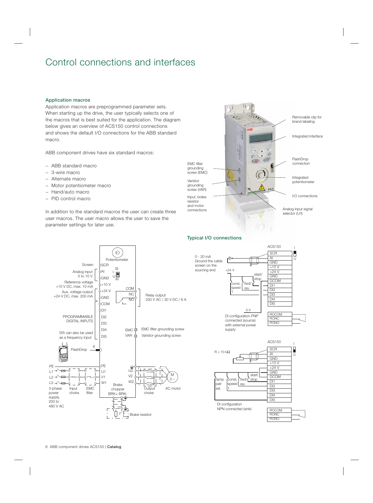## Control connections and interfaces

#### Application macros

Application macros are preprogrammed parameter sets. When starting up the drive, the user typically selects one of the macros that is best suited for the application. The diagram below gives an overview of ACS150 control connections and shows the default I/O connections for the ABB standard macro.

ABB component drives have six standard macros:

- − ABB standard macro
- − 3-wire macro
- − Alternate macro
- − Motor potentiometer macro
- − Hand/auto macro
- − PID control macro

In addition to the standard macros the user can create three user macros. The user macro allows the user to save the parameter settings for later use.



## Typical I/O connections





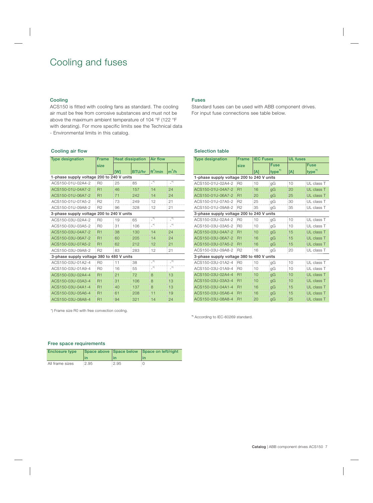## Cooling and fuses

#### Cooling

ACS150 is fitted with cooling fans as standard. The cooling air must be free from corrosive substances and must not be above the maximum ambient temperature of 104 °F (122 °F with derating). For more specific limits see the Technical data - Environmental limits in this catalog.

#### Cooling air flow

| <b>Type designation</b>                   | <b>Frame</b>   | <b>Heat dissipation</b> |               | <b>Air flow</b>      |                  |
|-------------------------------------------|----------------|-------------------------|---------------|----------------------|------------------|
|                                           | size           |                         |               |                      |                  |
|                                           |                | <b>TW1</b>              | <b>BTU/hr</b> | ft <sup>3</sup> /min | $m^3/h$          |
| 1-phase supply voltage 200 to 240 V units |                |                         |               |                      |                  |
| ACS150-01U-02A4-2                         | R <sub>0</sub> | 25                      | 85            | $x^*$                | $\overline{a}^*$ |
| ACS150-01U-04A7-2                         | R <sub>1</sub> | 46                      | 157           | 14                   | 24               |
| ACS150-01U-06A7-2                         | R <sub>1</sub> | 71                      | 242           | 14                   | 24               |
| ACS150-01U-07A5-2                         | R <sub>2</sub> | 73                      | 249           | 12                   | 21               |
| ACS150-01U-09A8-2                         | R <sub>2</sub> | 96                      | 328           | 12                   | 21               |
| 3-phase supply voltage 200 to 240 V units |                |                         |               |                      |                  |
| ACS150-03U-02A4-2                         | R <sub>0</sub> | 19                      | 65            | $x^*$                | $\rightarrow$    |
| ACS150-03U-03A5-2                         | R <sub>0</sub> | 31                      | 106           | $\rightarrow$        | $\rightarrow$    |
| ACS150-03U-04A7-2                         | R <sub>1</sub> | 38                      | 130           | 14                   | 24               |
| ACS150-03U-06A7-2                         | R <sub>1</sub> | 60                      | 205           | 14                   | 24               |
| ACS150-03U-07A5-2                         | R1             | 62                      | 212           | 12                   | 21               |
| ACS150-03U-09A8-2                         | R <sub>2</sub> | 83                      | 283           | 12                   | 21               |
| 3-phase supply voltage 380 to 480 V units |                |                         |               |                      |                  |
| ACS150-03U-01A2-4                         | R <sub>0</sub> | 11                      | 38            | $x^*$                | $^\star)$        |
| ACS150-03U-01A9-4                         | R <sub>0</sub> | 16                      | 55            | $\cdot^*$            | $\overline{a}^*$ |
| ACS150-03U-02A4-4                         | R1             | 21                      | 72            | 8                    | 13               |
| ACS150-03U-03A3-4                         | R <sub>1</sub> | 31                      | 106           | 8                    | 13               |
| ACS150-03U-04A1-4                         | R <sub>1</sub> | 40                      | 137           | 8                    | 13               |
| ACS150-03U-05A6-4                         | R1             | 61                      | 208           | 11                   | 19               |
| ACS150-03U-08A8-4                         | R1             | 94                      | 321           | 14                   | 24               |

#### Fuses

Standard fuses can be used with ABB component drives. For input fuse connections see table below.

## Selection table

| <b>Type designation</b>                   | <b>Frame</b>   | <b>IEC Fuses</b> |                    | <b>UL fuses</b> |                    |
|-------------------------------------------|----------------|------------------|--------------------|-----------------|--------------------|
|                                           | size           |                  | <b>Fuse</b>        |                 | <b>Fuse</b>        |
|                                           |                | [A]              | type <sup>*)</sup> | [A]             | type <sup>*)</sup> |
| 1-phase supply voltage 200 to 240 V units |                |                  |                    |                 |                    |
| ACS150-01U-02A4-2                         | R <sub>0</sub> | 10               | gG                 | 10              | UL class T         |
| ACS150-01U-04A7-2                         | R <sub>1</sub> | 16               | qG                 | 20              | UL class T         |
| ACS150-01U-06A7-2                         | R <sub>1</sub> | 20               | gG                 | 25              | UL class T         |
| ACS150-01U-07A5-2                         | R <sub>2</sub> | 25               | gG                 | 30              | UL class T         |
| ACS150-01U-09A8-2                         | R <sub>2</sub> | 35               | аG                 | 35              | UL class T         |
| 3-phase supply voltage 200 to 240 V units |                |                  |                    |                 |                    |
| ACS150-03U-02A4-2                         | R <sub>0</sub> | 10               | gG                 | 10              | UL class T         |
| ACS150-03U-03A5-2                         | R <sub>0</sub> | 10               | qG                 | 10              | UL class T         |
| ACS150-03U-04A7-2                         | R1             | 10               | qG                 | 15              | UL class T         |
| ACS150-03U-06A7-2                         | R1             | 16               | gG                 | 15              | UL class T         |
| ACS150-03U-07A5-2                         | R <sub>1</sub> | 16               | qG                 | 15              | UL class T         |
| ACS150-03U-09A8-2                         | R <sub>2</sub> | 16               | аG                 | 20              | UL class T         |
| 3-phase supply voltage 380 to 480 V units |                |                  |                    |                 |                    |
| ACS150-03U-01A2-4                         | R <sub>0</sub> | 10               | qG                 | 10              | UL class T         |
| ACS150-03U-01A9-4                         | R <sub>0</sub> | 10               | gG                 | 10              | UL class T         |
| ACS150-03U-02A4-4                         | R <sub>1</sub> | 10               | qG                 | 10              | UL class T         |
| ACS150-03U-03A3-4                         | R <sub>1</sub> | 10               | qG                 | 10              | UL class T         |
| ACS150-03U-04A1-4                         | R1             | 16               | gG                 | 15              | UL class T         |
| ACS150-03U-05A6-4                         | R1             | 16               | gG                 | 15              | UL class T         |
| ACS150-03U-08A8-4                         | R <sub>1</sub> | 20               | gG                 | 25              | UL class T         |

\*) Frame size R0 with free convection cooling.

\*) According to IEC-60269 standard.

#### Free space requirements

| <b>Enclosure type</b> |      |              | Space above Space below Space on left/right |
|-----------------------|------|--------------|---------------------------------------------|
|                       | in   | $\mathsf{I}$ | lın                                         |
| All frame sizes       | 2.95 | :2.95        |                                             |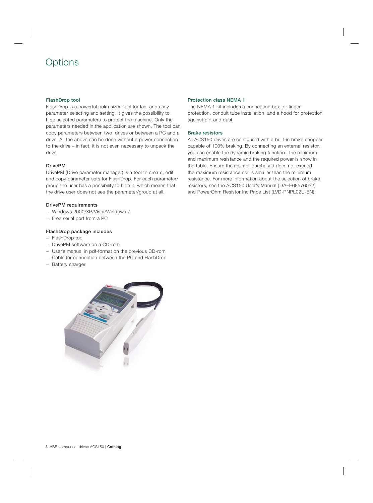# Options

## FlashDrop tool

FlashDrop is a powerful palm sized tool for fast and easy parameter selecting and setting. It gives the possibility to hide selected parameters to protect the machine. Only the parameters needed in the application are shown. The tool can copy parameters between two drives or between a PC and a drive. All the above can be done without a power connection to the drive – in fact, it is not even necessary to unpack the drive.

### DrivePM

DrivePM (Drive parameter manager) is a tool to create, edit and copy parameter sets for FlashDrop. For each parameter/ group the user has a possibility to hide it, which means that the drive user does not see the parameter/group at all.

### DrivePM requirements

- − Windows 2000/XP/Vista/Windows 7
- − Free serial port from a PC

#### FlashDrop package includes

- − FlashDrop tool
- − DrivePM software on a CD-rom
- − User's manual in pdf-format on the previous CD-rom
- − Cable for connection between the PC and FlashDrop
- − Battery charger



#### Protection class NEMA 1

The NEMA 1 kit includes a connection box for finger protection, conduit tube installation, and a hood for protection against dirt and dust.

#### Brake resistors

All ACS150 drives are configured with a built-in brake chopper capable of 100% braking. By connecting an external resistor, you can enable the dynamic braking function. The minimum and maximum resistance and the required power is show in the table. Ensure the resistor purchased does not exceed the maximum resistance nor is smaller than the minimum resistance. For more information about the selection of brake resistors, see the ACS150 User's Manual ( 3AFE68576032) and PowerOhm Resistor Inc Price List (LVD-PNPL02U-EN).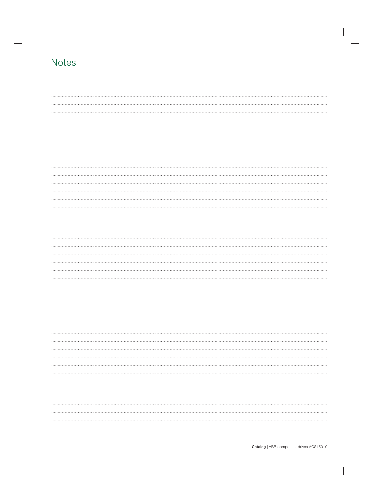# **Notes**